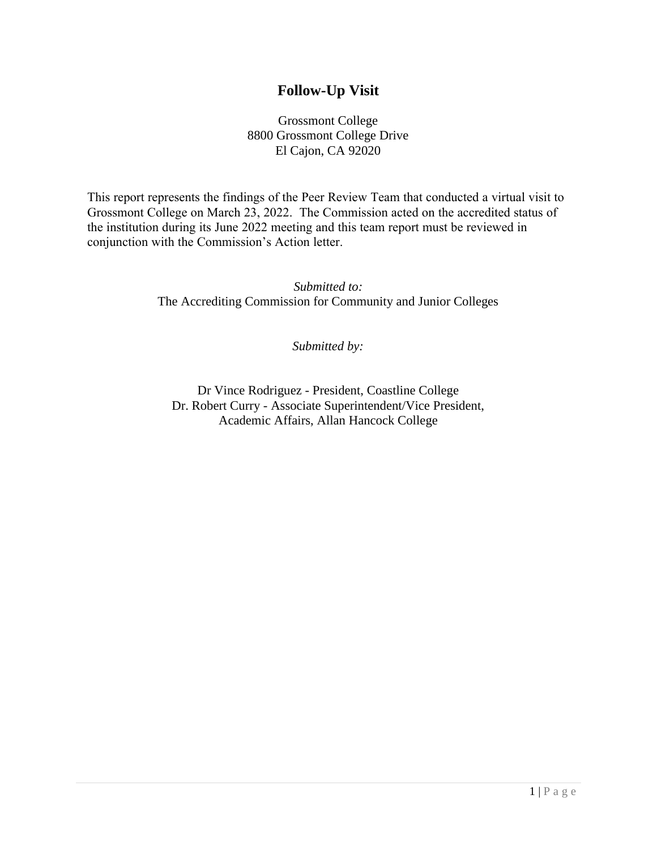# **Follow-Up Visit**

Grossmont College 8800 Grossmont College Drive El Cajon, CA 92020

This report represents the findings of the Peer Review Team that conducted a virtual visit to Grossmont College on March 23, 2022. The Commission acted on the accredited status of the institution during its June 2022 meeting and this team report must be reviewed in conjunction with the Commission's Action letter.

> *Submitted to:* The Accrediting Commission for Community and Junior Colleges

> > *Submitted by:*

Dr Vince Rodriguez - President, Coastline College Dr. Robert Curry - Associate Superintendent/Vice President, Academic Affairs, Allan Hancock College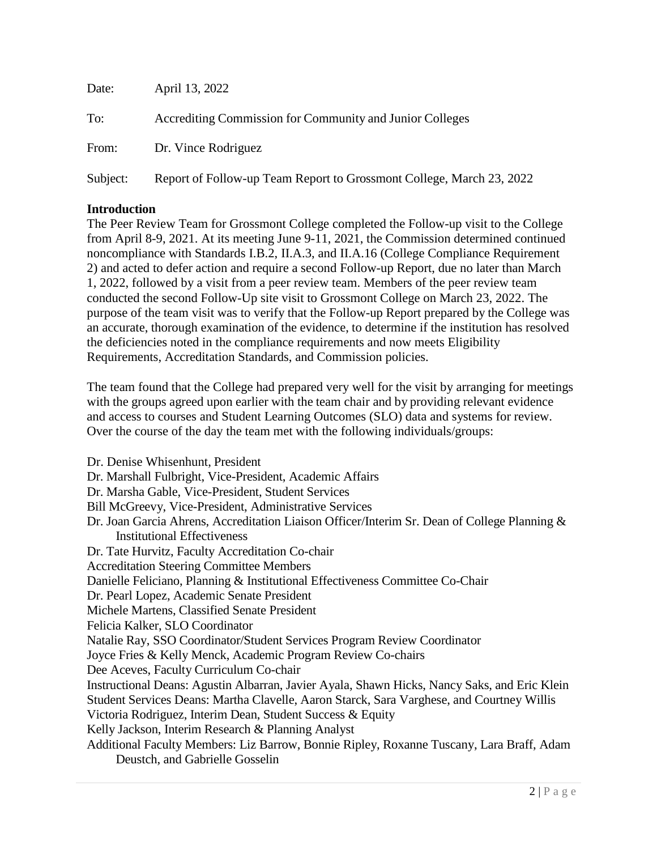| Date:    | April 13, 2022                                                       |
|----------|----------------------------------------------------------------------|
| To:      | Accrediting Commission for Community and Junior Colleges             |
| From:    | Dr. Vince Rodriguez                                                  |
| Subject: | Report of Follow-up Team Report to Grossmont College, March 23, 2022 |

## **Introduction**

The Peer Review Team for Grossmont College completed the Follow-up visit to the College from April 8-9, 2021. At its meeting June 9-11, 2021, the Commission determined continued noncompliance with Standards I.B.2, II.A.3, and II.A.16 (College Compliance Requirement 2) and acted to defer action and require a second Follow-up Report, due no later than March 1, 2022, followed by a visit from a peer review team. Members of the peer review team conducted the second Follow-Up site visit to Grossmont College on March 23, 2022. The purpose of the team visit was to verify that the Follow-up Report prepared by the College was an accurate, thorough examination of the evidence, to determine if the institution has resolved the deficiencies noted in the compliance requirements and now meets Eligibility Requirements, Accreditation Standards, and Commission policies.

The team found that the College had prepared very well for the visit by arranging for meetings with the groups agreed upon earlier with the team chair and by providing relevant evidence and access to courses and Student Learning Outcomes (SLO) data and systems for review. Over the course of the day the team met with the following individuals/groups:

Dr. Denise Whisenhunt, President Dr. Marshall Fulbright, Vice-President, Academic Affairs Dr. Marsha Gable, Vice-President, Student Services Bill McGreevy, Vice-President, Administrative Services Dr. Joan Garcia Ahrens, Accreditation Liaison Officer/Interim Sr. Dean of College Planning & Institutional Effectiveness Dr. Tate Hurvitz, Faculty Accreditation Co-chair Accreditation Steering Committee Members Danielle Feliciano, Planning & Institutional Effectiveness Committee Co-Chair Dr. Pearl Lopez, Academic Senate President Michele Martens, Classified Senate President Felicia Kalker, SLO Coordinator Natalie Ray, SSO Coordinator/Student Services Program Review Coordinator Joyce Fries & Kelly Menck, Academic Program Review Co-chairs Dee Aceves, Faculty Curriculum Co-chair Instructional Deans: Agustin Albarran, Javier Ayala, Shawn Hicks, Nancy Saks, and Eric Klein Student Services Deans: Martha Clavelle, Aaron Starck, Sara Varghese, and Courtney Willis Victoria Rodriguez, Interim Dean, Student Success & Equity Kelly Jackson, Interim Research & Planning Analyst Additional Faculty Members: Liz Barrow, Bonnie Ripley, Roxanne Tuscany, Lara Braff, Adam Deustch, and Gabrielle Gosselin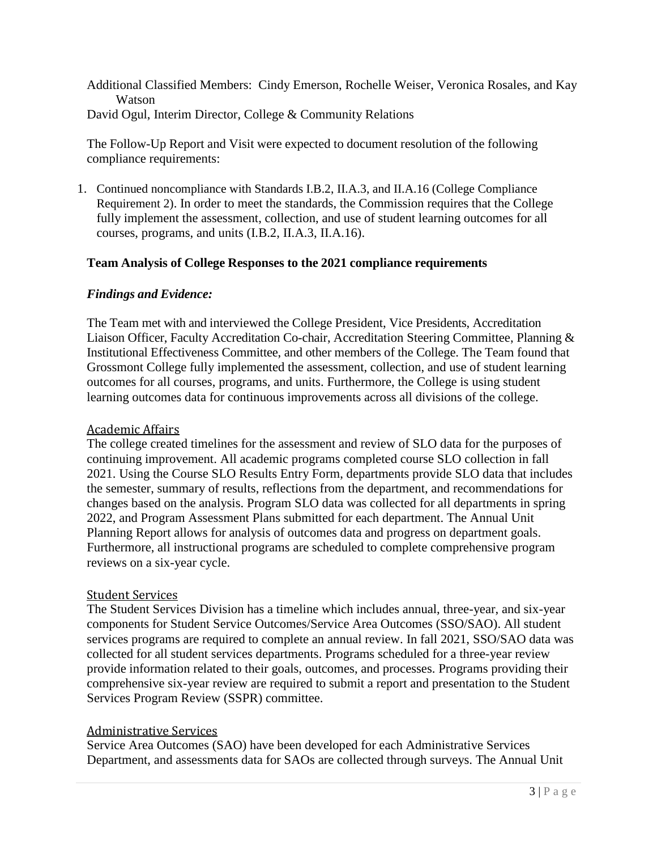Additional Classified Members: Cindy Emerson, Rochelle Weiser, Veronica Rosales, and Kay Watson David Ogul, Interim Director, College & Community Relations

The Follow-Up Report and Visit were expected to document resolution of the following compliance requirements:

1. Continued noncompliance with Standards I.B.2, II.A.3, and II.A.16 (College Compliance Requirement 2). In order to meet the standards, the Commission requires that the College fully implement the assessment, collection, and use of student learning outcomes for all courses, programs, and units (I.B.2, II.A.3, II.A.16).

## **Team Analysis of College Responses to the 2021 compliance requirements**

#### *Findings and Evidence:*

The Team met with and interviewed the College President, Vice Presidents, Accreditation Liaison Officer, Faculty Accreditation Co-chair, Accreditation Steering Committee, Planning & Institutional Effectiveness Committee, and other members of the College. The Team found that Grossmont College fully implemented the assessment, collection, and use of student learning outcomes for all courses, programs, and units. Furthermore, the College is using student learning outcomes data for continuous improvements across all divisions of the college.

#### Academic Affairs

The college created timelines for the assessment and review of SLO data for the purposes of continuing improvement. All academic programs completed course SLO collection in fall 2021. Using the Course SLO Results Entry Form, departments provide SLO data that includes the semester, summary of results, reflections from the department, and recommendations for changes based on the analysis. Program SLO data was collected for all departments in spring 2022, and Program Assessment Plans submitted for each department. The Annual Unit Planning Report allows for analysis of outcomes data and progress on department goals. Furthermore, all instructional programs are scheduled to complete comprehensive program reviews on a six-year cycle.

#### Student Services

The Student Services Division has a timeline which includes annual, three-year, and six-year components for Student Service Outcomes/Service Area Outcomes (SSO/SAO). All student services programs are required to complete an annual review. In fall 2021, SSO/SAO data was collected for all student services departments. Programs scheduled for a three-year review provide information related to their goals, outcomes, and processes. Programs providing their comprehensive six-year review are required to submit a report and presentation to the Student Services Program Review (SSPR) committee.

#### Administrative Services

Service Area Outcomes (SAO) have been developed for each Administrative Services Department, and assessments data for SAOs are collected through surveys. The Annual Unit